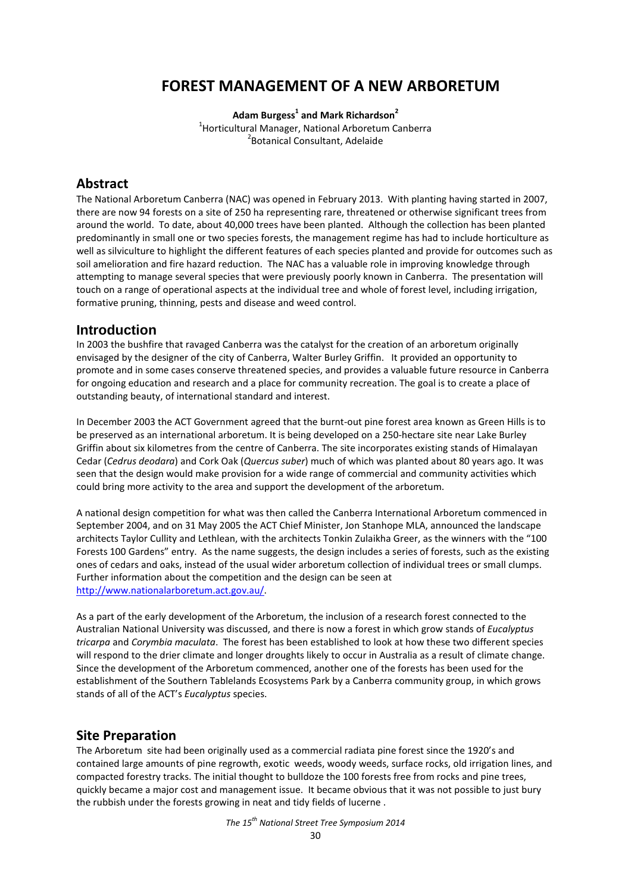# **FOREST MANAGEMENT OF A NEW ARBORETUM**

**Adam Burgess1 and Mark Richardson<sup>2</sup>**

<sup>1</sup> Horticultural Manager, National Arboretum Canberra<br><sup>2</sup> Botanical Consultant, Adelaide <sup>2</sup> Botanical Consultant, Adelaide

## **Abstract**

The National Arboretum Canberra (NAC) was opened in February 2013. With planting having started in 2007, there are now 94 forests on a site of 250 ha representing rare, threatened or otherwise significant trees from around the world. To date, about 40,000 trees have been planted. Although the collection has been planted predominantly in small one or two species forests, the management regime has had to include horticulture as well as silviculture to highlight the different features of each species planted and provide for outcomes such as soil amelioration and fire hazard reduction. The NAC has a valuable role in improving knowledge through attempting to manage several species that were previously poorly known in Canberra. The presentation will touch on a range of operational aspects at the individual tree and whole of forest level, including irrigation, formative pruning, thinning, pests and disease and weed control.

## **Introduction**

In 2003 the bushfire that ravaged Canberra was the catalyst for the creation of an arboretum originally envisaged by the designer of the city of Canberra, Walter Burley Griffin. It provided an opportunity to promote and in some cases conserve threatened species, and provides a valuable future resource in Canberra for ongoing education and research and a place for community recreation. The goal is to create a place of outstanding beauty, of international standard and interest.

In December 2003 the ACT Government agreed that the burnt-out pine forest area known as Green Hills is to be preserved as an international arboretum. It is being developed on a 250-hectare site near Lake Burley Griffin about six kilometres from the centre of Canberra. The site incorporates existing stands of Himalayan Cedar (*Cedrus deodara*) and Cork Oak (*Quercus suber*) much of which was planted about 80 years ago. It was seen that the design would make provision for a wide range of commercial and community activities which could bring more activity to the area and support the development of the arboretum.

A national design competition for what was then called the Canberra International Arboretum commenced in September 2004, and on 31 May 2005 the ACT Chief Minister, Jon Stanhope MLA, announced the landscape architects Taylor Cullity and Lethlean, with the architects Tonkin Zulaikha Greer, as the winners with the "100 Forests 100 Gardens" entry. As the name suggests, the design includes a series of forests, such as the existing ones of cedars and oaks, instead of the usual wider arboretum collection of individual trees or small clumps. Further information about the competition and the design can be seen at [http://www.nationalarboretum.act.gov.au/.](http://www.nationalarboretum.act.gov.au/)

As a part of the early development of the Arboretum, the inclusion of a research forest connected to the Australian National University was discussed, and there is now a forest in which grow stands of *Eucalyptus tricarpa* and *Corymbia maculata*. The forest has been established to look at how these two different species will respond to the drier climate and longer droughts likely to occur in Australia as a result of climate change. Since the development of the Arboretum commenced, another one of the forests has been used for the establishment of the Southern Tablelands Ecosystems Park by a Canberra community group, in which grows stands of all of the ACT's *Eucalyptus* species.

### **Site Preparation**

The Arboretum site had been originally used as a commercial radiata pine forest since the 1920's and contained large amounts of pine regrowth, exotic weeds, woody weeds, surface rocks, old irrigation lines, and compacted forestry tracks. The initial thought to bulldoze the 100 forests free from rocks and pine trees, quickly became a major cost and management issue. It became obvious that it was not possible to just bury the rubbish under the forests growing in neat and tidy fields of lucerne .

*The 15th National Street Tree Symposium 2014*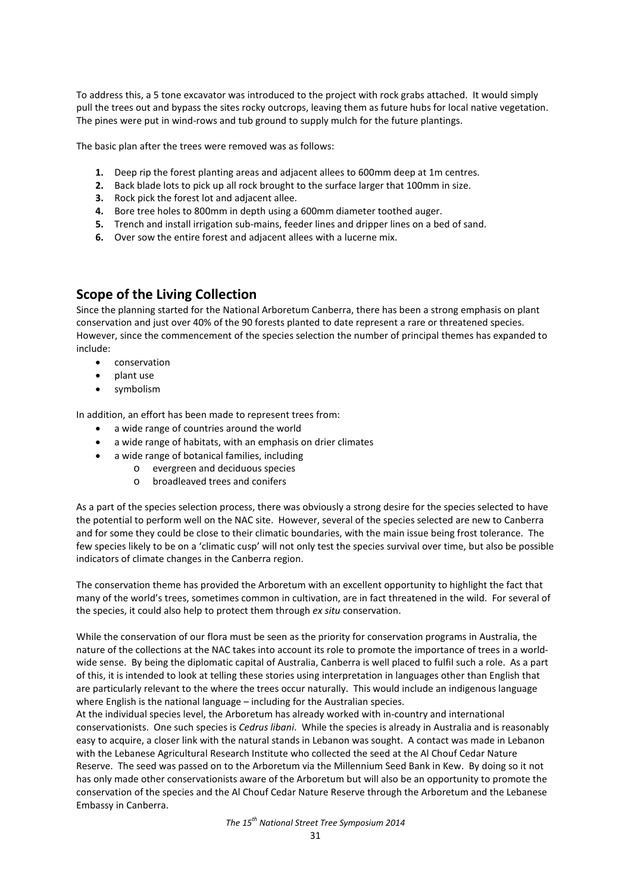To address this, a 5 tone excavator was introduced to the project with rock grabs attached. It would simply pull the trees out and bypass the sites rocky outcrops, leaving them as future hubs for local native vegetation. The pines were put in wind-rows and tub ground to supply mulch for the future plantings.

The basic plan after the trees were removed was as follows:

- **1.** Deep rip the forest planting areas and adjacent allees to 600mm deep at 1m centres.
- **2.** Back blade lots to pick up all rock brought to the surface larger that 100mm in size.
- **3.** Rock pick the forest lot and adjacent allee.
- **4.** Bore tree holes to 800mm in depth using a 600mm diameter toothed auger.
- **5.** Trench and install irrigation sub-mains, feeder lines and dripper lines on a bed of sand.
- **6.** Over sow the entire forest and adjacent allees with a lucerne mix.

### **Scope of the Living Collection**

Since the planning started for the National Arboretum Canberra, there has been a strong emphasis on plant conservation and just over 40% of the 90 forests planted to date represent a rare or threatened species. However, since the commencement of the species selection the number of principal themes has expanded to include:

- conservation
- plant use
- symbolism

In addition, an effort has been made to represent trees from:

- a wide range of countries around the world
- a wide range of habitats, with an emphasis on drier climates
- a wide range of botanical families, including
	- o evergreen and deciduous species
		- o broadleaved trees and conifers

As a part of the species selection process, there was obviously a strong desire for the species selected to have the potential to perform well on the NAC site. However, several of the species selected are new to Canberra and for some they could be close to their climatic boundaries, with the main issue being frost tolerance. The few species likely to be on a 'climatic cusp' will not only test the species survival over time, but also be possible indicators of climate changes in the Canberra region.

The conservation theme has provided the Arboretum with an excellent opportunity to highlight the fact that many of the world's trees, sometimes common in cultivation, are in fact threatened in the wild. For several of the species, it could also help to protect them through *ex situ* conservation.

While the conservation of our flora must be seen as the priority for conservation programs in Australia, the nature of the collections at the NAC takes into account its role to promote the importance of trees in a worldwide sense. By being the diplomatic capital of Australia, Canberra is well placed to fulfil such a role. As a part of this, it is intended to look at telling these stories using interpretation in languages other than English that are particularly relevant to the where the trees occur naturally. This would include an indigenous language where English is the national language – including for the Australian species.

At the individual species level, the Arboretum has already worked with in-country and international conservationists. One such species is *Cedrus libani*. While the species is already in Australia and is reasonably easy to acquire, a closer link with the natural stands in Lebanon was sought. A contact was made in Lebanon with the Lebanese Agricultural Research Institute who collected the seed at the Al Chouf Cedar Nature Reserve. The seed was passed on to the Arboretum via the Millennium Seed Bank in Kew. By doing so it not has only made other conservationists aware of the Arboretum but will also be an opportunity to promote the conservation of the species and the Al Chouf Cedar Nature Reserve through the Arboretum and the Lebanese Embassy in Canberra.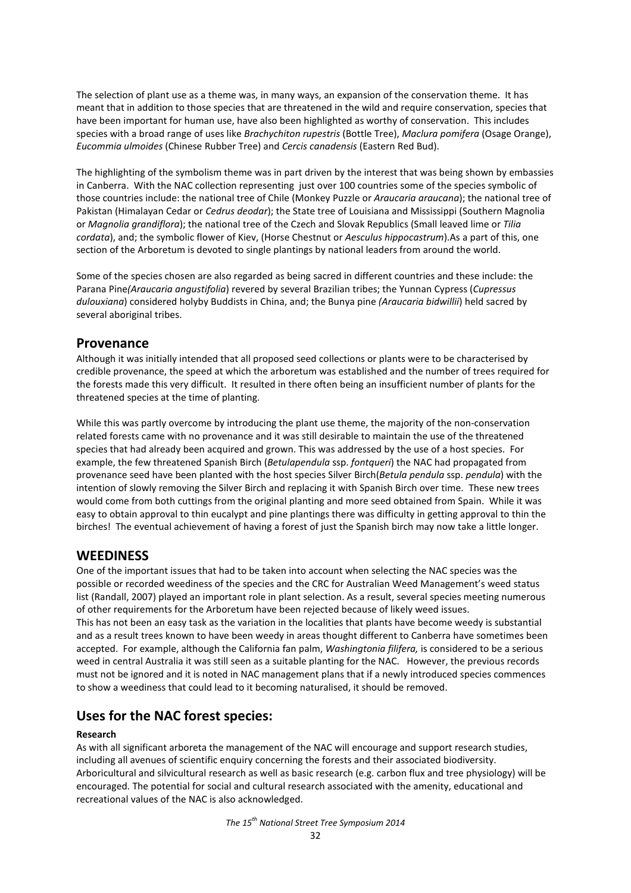The selection of plant use as a theme was, in many ways, an expansion of the conservation theme. It has meant that in addition to those species that are threatened in the wild and require conservation, species that have been important for human use, have also been highlighted as worthy of conservation. This includes species with a broad range of uses like *Brachychiton rupestris* (Bottle Tree), *Maclura pomifera* (Osage Orange), *Eucommia ulmoides* (Chinese Rubber Tree) and *Cercis canadensis* (Eastern Red Bud).

The highlighting of the symbolism theme was in part driven by the interest that was being shown by embassies in Canberra. With the NAC collection representing just over 100 countries some of the species symbolic of those countries include: the national tree of Chile (Monkey Puzzle or *Araucaria araucana*); the national tree of Pakistan (Himalayan Cedar or *Cedrus deodar*); the State tree of Louisiana and Mississippi (Southern Magnolia or *Magnolia grandiflora*); the national tree of the Czech and Slovak Republics (Small leaved lime or *Tilia cordata*), and; the symbolic flower of Kiev, (Horse Chestnut or *Aesculus hippocastrum*).As a part of this, one section of the Arboretum is devoted to single plantings by national leaders from around the world.

Some of the species chosen are also regarded as being sacred in different countries and these include: the Parana Pine*(Araucaria angustifolia*) revered by several Brazilian tribes; the Yunnan Cypress (*Cupressus dulouxiana*) considered holyby Buddists in China, and; the Bunya pine *(Araucaria bidwillii*) held sacred by several aboriginal tribes.

### **Provenance**

Although it was initially intended that all proposed seed collections or plants were to be characterised by credible provenance, the speed at which the arboretum was established and the number of trees required for the forests made this very difficult. It resulted in there often being an insufficient number of plants for the threatened species at the time of planting.

While this was partly overcome by introducing the plant use theme, the majority of the non-conservation related forests came with no provenance and it was still desirable to maintain the use of the threatened species that had already been acquired and grown. This was addressed by the use of a host species. For example, the few threatened Spanish Birch (*Betulapendula* ssp. *fontqueri*) the NAC had propagated from provenance seed have been planted with the host species Silver Birch(*Betula pendula* ssp. *pendula*) with the intention of slowly removing the Silver Birch and replacing it with Spanish Birch over time. These new trees would come from both cuttings from the original planting and more seed obtained from Spain. While it was easy to obtain approval to thin eucalypt and pine plantings there was difficulty in getting approval to thin the birches! The eventual achievement of having a forest of just the Spanish birch may now take a little longer.

### **WEEDINESS**

One of the important issues that had to be taken into account when selecting the NAC species was the possible or recorded weediness of the species and the CRC for Australian Weed Management's weed status list (Randall, 2007) played an important role in plant selection. As a result, several species meeting numerous of other requirements for the Arboretum have been rejected because of likely weed issues. This has not been an easy task as the variation in the localities that plants have become weedy is substantial and as a result trees known to have been weedy in areas thought different to Canberra have sometimes been accepted. For example, although the California fan palm, *Washingtonia filifera,* is considered to be a serious weed in central Australia it was still seen as a suitable planting for the NAC. However, the previous records must not be ignored and it is noted in NAC management plans that if a newly introduced species commences to show a weediness that could lead to it becoming naturalised, it should be removed.

## **Uses for the NAC forest species:**

#### **Research**

As with all significant arboreta the management of the NAC will encourage and support research studies, including all avenues of scientific enquiry concerning the forests and their associated biodiversity. Arboricultural and silvicultural research as well as basic research (e.g. carbon flux and tree physiology) will be encouraged. The potential for social and cultural research associated with the amenity, educational and recreational values of the NAC is also acknowledged.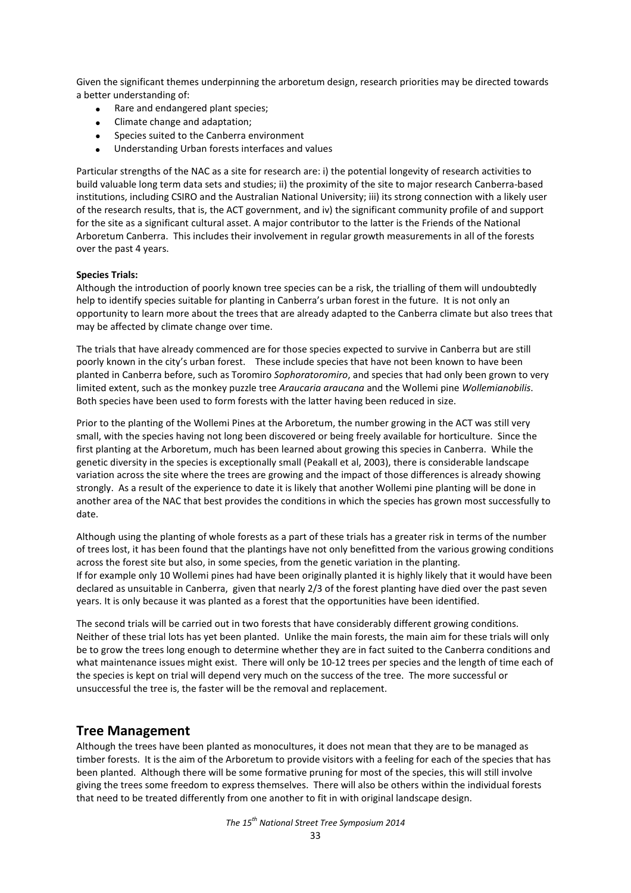Given the significant themes underpinning the arboretum design, research priorities may be directed towards a better understanding of:

- Rare and endangered plant species;
- Climate change and adaptation;
- Species suited to the Canberra environment
- Understanding Urban forests interfaces and values

Particular strengths of the NAC as a site for research are: i) the potential longevity of research activities to build valuable long term data sets and studies; ii) the proximity of the site to major research Canberra-based institutions, including CSIRO and the Australian National University; iii) its strong connection with a likely user of the research results, that is, the ACT government, and iv) the significant community profile of and support for the site as a significant cultural asset. A major contributor to the latter is the Friends of the National Arboretum Canberra. This includes their involvement in regular growth measurements in all of the forests over the past 4 years.

#### **Species Trials:**

Although the introduction of poorly known tree species can be a risk, the trialling of them will undoubtedly help to identify species suitable for planting in Canberra's urban forest in the future. It is not only an opportunity to learn more about the trees that are already adapted to the Canberra climate but also trees that may be affected by climate change over time.

The trials that have already commenced are for those species expected to survive in Canberra but are still poorly known in the city's urban forest. These include species that have not been known to have been planted in Canberra before, such as Toromiro *Sophoratoromiro*, and species that had only been grown to very limited extent, such as the monkey puzzle tree *Araucaria araucana* and the Wollemi pine *Wollemianobilis*. Both species have been used to form forests with the latter having been reduced in size.

Prior to the planting of the Wollemi Pines at the Arboretum, the number growing in the ACT was still very small, with the species having not long been discovered or being freely available for horticulture. Since the first planting at the Arboretum, much has been learned about growing this species in Canberra. While the genetic diversity in the species is exceptionally small (Peakall et al, 2003), there is considerable landscape variation across the site where the trees are growing and the impact of those differences is already showing strongly. As a result of the experience to date it is likely that another Wollemi pine planting will be done in another area of the NAC that best provides the conditions in which the species has grown most successfully to date.

Although using the planting of whole forests as a part of these trials has a greater risk in terms of the number of trees lost, it has been found that the plantings have not only benefitted from the various growing conditions across the forest site but also, in some species, from the genetic variation in the planting. If for example only 10 Wollemi pines had have been originally planted it is highly likely that it would have been declared as unsuitable in Canberra, given that nearly 2/3 of the forest planting have died over the past seven years. It is only because it was planted as a forest that the opportunities have been identified.

The second trials will be carried out in two forests that have considerably different growing conditions. Neither of these trial lots has yet been planted. Unlike the main forests, the main aim for these trials will only be to grow the trees long enough to determine whether they are in fact suited to the Canberra conditions and what maintenance issues might exist. There will only be 10-12 trees per species and the length of time each of the species is kept on trial will depend very much on the success of the tree. The more successful or unsuccessful the tree is, the faster will be the removal and replacement.

### **Tree Management**

Although the trees have been planted as monocultures, it does not mean that they are to be managed as timber forests. It is the aim of the Arboretum to provide visitors with a feeling for each of the species that has been planted. Although there will be some formative pruning for most of the species, this will still involve giving the trees some freedom to express themselves. There will also be others within the individual forests that need to be treated differently from one another to fit in with original landscape design.

*The 15th National Street Tree Symposium 2014*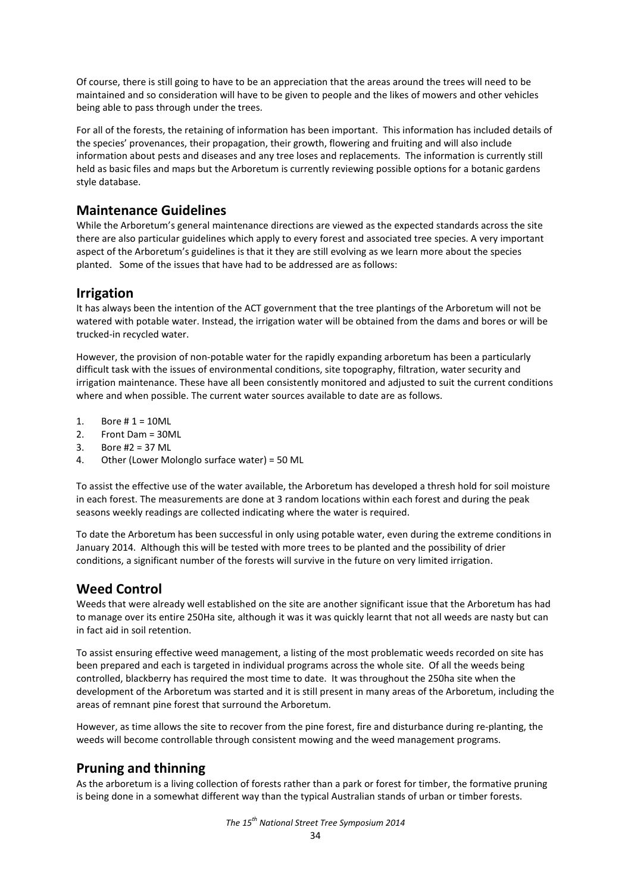Of course, there is still going to have to be an appreciation that the areas around the trees will need to be maintained and so consideration will have to be given to people and the likes of mowers and other vehicles being able to pass through under the trees.

For all of the forests, the retaining of information has been important. This information has included details of the species' provenances, their propagation, their growth, flowering and fruiting and will also include information about pests and diseases and any tree loses and replacements. The information is currently still held as basic files and maps but the Arboretum is currently reviewing possible options for a botanic gardens style database.

## **Maintenance Guidelines**

While the Arboretum's general maintenance directions are viewed as the expected standards across the site there are also particular guidelines which apply to every forest and associated tree species. A very important aspect of the Arboretum's guidelines is that it they are still evolving as we learn more about the species planted. Some of the issues that have had to be addressed are as follows:

## **Irrigation**

It has always been the intention of the ACT government that the tree plantings of the Arboretum will not be watered with potable water. Instead, the irrigation water will be obtained from the dams and bores or will be trucked-in recycled water.

However, the provision of non-potable water for the rapidly expanding arboretum has been a particularly difficult task with the issues of environmental conditions, site topography, filtration, water security and irrigation maintenance. These have all been consistently monitored and adjusted to suit the current conditions where and when possible. The current water sources available to date are as follows.

- 1. Bore  $# 1 = 10$ ML
- 2. Front Dam = 30ML
- 3. Bore #2 = 37 ML
- 4. Other (Lower Molonglo surface water) = 50 ML

To assist the effective use of the water available, the Arboretum has developed a thresh hold for soil moisture in each forest. The measurements are done at 3 random locations within each forest and during the peak seasons weekly readings are collected indicating where the water is required.

To date the Arboretum has been successful in only using potable water, even during the extreme conditions in January 2014. Although this will be tested with more trees to be planted and the possibility of drier conditions, a significant number of the forests will survive in the future on very limited irrigation.

## **Weed Control**

Weeds that were already well established on the site are another significant issue that the Arboretum has had to manage over its entire 250Ha site, although it was it was quickly learnt that not all weeds are nasty but can in fact aid in soil retention.

To assist ensuring effective weed management, a listing of the most problematic weeds recorded on site has been prepared and each is targeted in individual programs across the whole site. Of all the weeds being controlled, blackberry has required the most time to date. It was throughout the 250ha site when the development of the Arboretum was started and it is still present in many areas of the Arboretum, including the areas of remnant pine forest that surround the Arboretum.

However, as time allows the site to recover from the pine forest, fire and disturbance during re-planting, the weeds will become controllable through consistent mowing and the weed management programs.

## **Pruning and thinning**

As the arboretum is a living collection of forests rather than a park or forest for timber, the formative pruning is being done in a somewhat different way than the typical Australian stands of urban or timber forests.

*The 15th National Street Tree Symposium 2014*